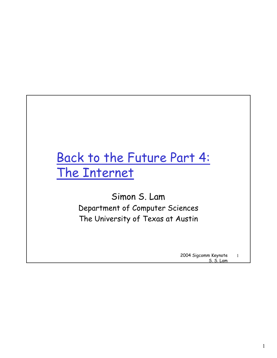## Back to the Future Part 4: The Internet

Simon S. Lam Department of Computer Sciences The University of Texas at Austin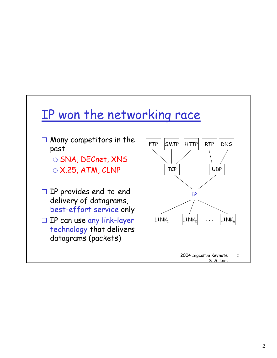### IP won the networking race

- ❒ Many competitors in the past
	- ❍ SNA, DECnet, XNS
	- $\circ$  X.25, ATM, CLNP
- ❒ IP provides end-to-end delivery of datagrams, best-effort service only
- ❒ IP can use any link-layer technology that delivers datagrams (packets)

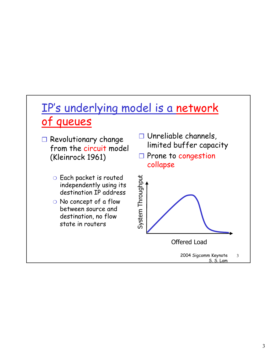### IP's underlying model is a network of queues

- ❒ Revolutionary change from the circuit model (Kleinrock 1961)
	- ❍ Each packet is routed independently using its destination IP address
	- ❍ No concept of a flow between source and destination, no flow state in routers
- ❒ Unreliable channels, limited buffer capacity
- ❒ Prone to congestion collapse

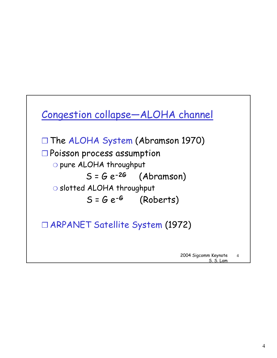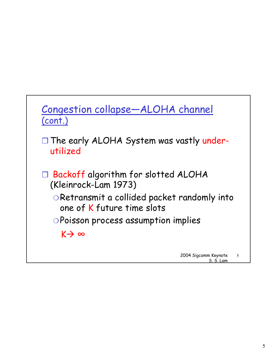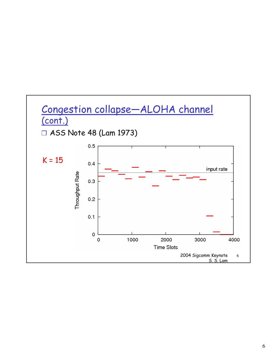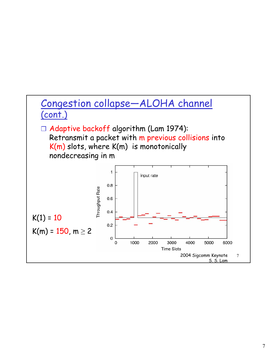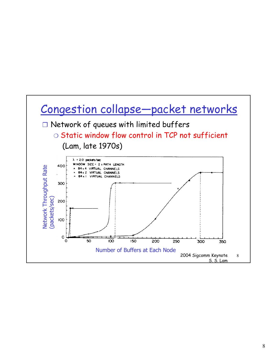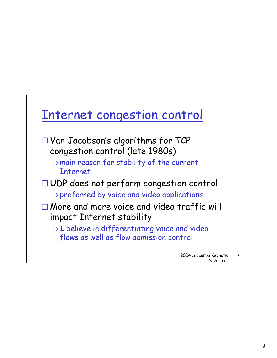

S. S. Lam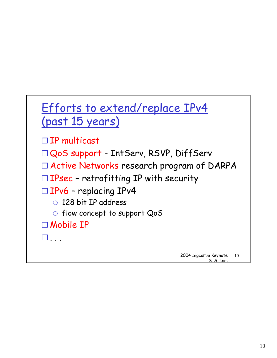## Efforts to extend/replace IPv4 (past 15 years)

- ❒ IP multicast
- ❒ QoS support IntServ, RSVP, DiffServ
- ❒ Active Networks research program of DARPA
- ❒ IPsec retrofitting IP with security
- ❒ IPv6 replacing IPv4
	- ❍ 128 bit IP address
	- ❍ flow concept to support QoS

❒ Mobile IP

 $\Box$  . . .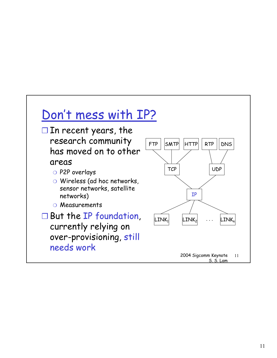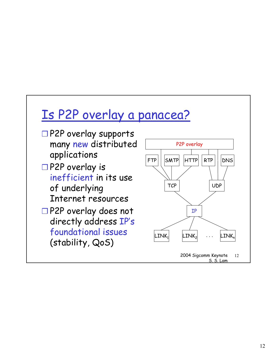## Is P2P overlay a panacea?

- ❒ P2P overlay supports many new distributed applications
- ❒ P2P overlay is inefficient in its use of underlying Internet resources
- ❒ P2P overlay does not directly address IP's foundational issues (stability, QoS)

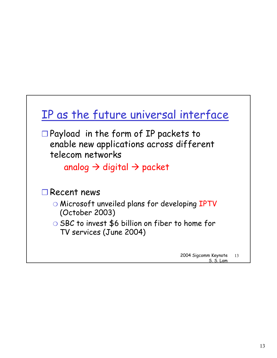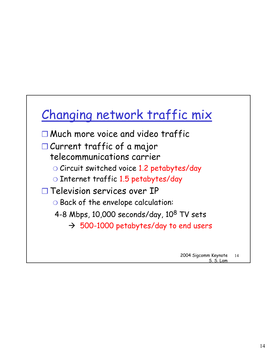# Changing network traffic mix

- ❒ Much more voice and video traffic
- ❒ Current traffic of a major telecommunications carrier
	- ❍ Circuit switched voice 1.2 petabytes/day
	- ❍ Internet traffic 1.5 petabytes/day
- ❒ Television services over IP
	- ❍ Back of the envelope calculation:
	- 4-8 Mbps, 10,000 seconds/day, 10<sup>8</sup> TV sets
		- $\rightarrow$  500-1000 petabytes/day to end users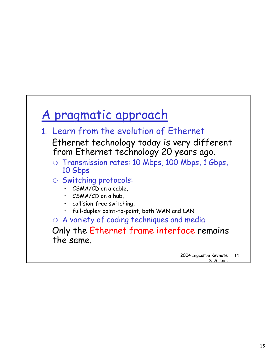## A pragmatic approach

- 1. Learn from the evolution of Ethernet Ethernet technology today is very different from Ethernet technology 20 years ago.
	- ❍ Transmission rates: 10 Mbps, 100 Mbps, 1 Gbps, 10 Gbps
	- ❍ Switching protocols:
		- CSMA/CD on a cable.
		- CSMA/CD on a hub.
		- collision-free switching,
		- full-duplex point-to-point, both WAN and LAN

❍ A variety of coding techniques and media

Only the Ethernet frame interface remains the same.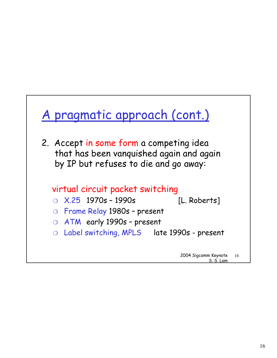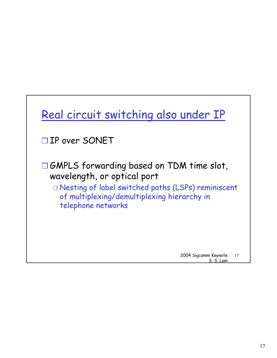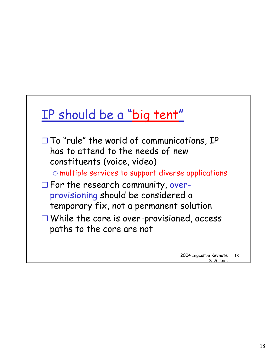## IP should be a "big tent"

❒ To "rule" the world of communications, IP has to attend to the needs of new constituents (voice, video)

❍ multiple services to support diverse applications

- ❒ For the research community, overprovisioning should be considered a temporary fix, not a permanent solution
- ❒ While the core is over-provisioned, access paths to the core are not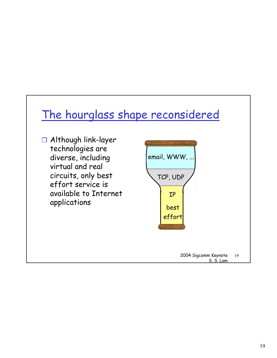### The hourglass shape reconsidered

❒ Although link-layer technologies are diverse, including virtual and real circuits, only best effort service is available to Internet applications

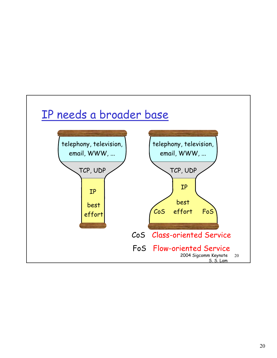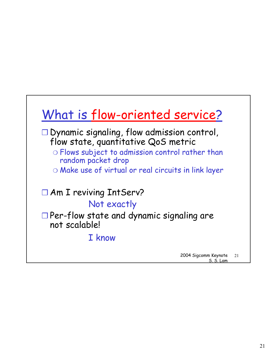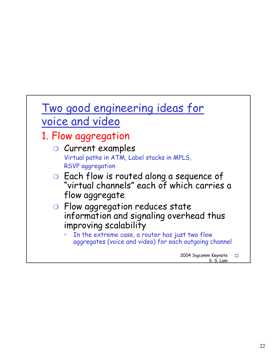## Two good engineering ideas for voice and video

### 1. Flow aggregation

- ❍ Current examples Virtual paths in ATM, Label stacks in MPLS, RSVP aggregation ❍ Each flow is routed along a sequence of "virtual channels" each of which carries a flow aggregate
- ❍ Flow aggregation reduces state information and signaling overhead thus improving scalability
	- In the extreme case, a router has just two flow aggregates (voice and video) for each outgoing channel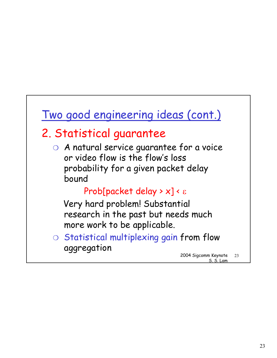### Two good engineering ideas (cont.)

### 2. Statistical guarantee

❍ A natural service guarantee for a voice or video flow is the flow's loss probability for a given packet delay bound

### Prob[packet delay > x] < ε

Very hard problem! Substantial research in the past but needs much more work to be applicable.

❍ Statistical multiplexing gain from flow aggregation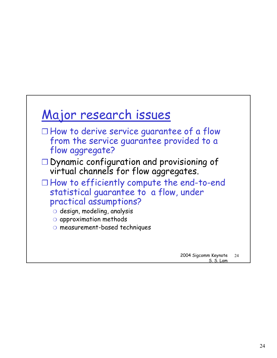## Major research issues

- ❒ How to derive service guarantee of a flow from the service guarantee provided to a flow aggregate?
- ❒ Dynamic configuration and provisioning of virtual channels for flow aggregates.
- ❒ How to efficiently compute the end-to-end statistical guarantee to a flow, under practical assumptions?
	- ❍ design, modeling, analysis
	- ❍ approximation methods
	- ❍ measurement-based techniques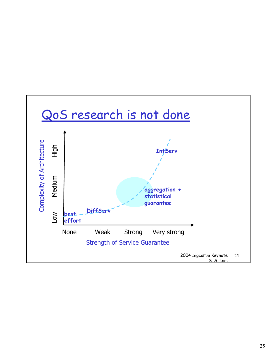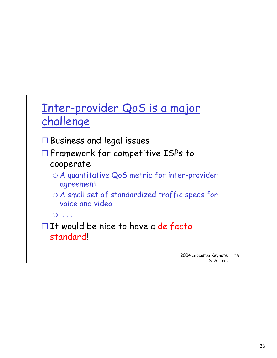## Inter-provider QoS is a major challenge

- ❒ Business and legal issues
- ❒ Framework for competitive ISPs to cooperate
	- ❍ A quantitative QoS metric for inter-provider agreement
	- ❍ A small set of standardized traffic specs for voice and video
	- $\overline{\bigcirc}$  ...
- ❒ It would be nice to have a de facto standard!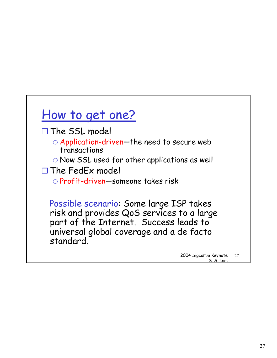## How to get one?

- ❒ The SSL model
	- ❍ Application-driven—the need to secure web transactions
	- ❍ Now SSL used for other applications as well
- ❒ The FedEx model
	- ❍ Profit-driven—someone takes risk

Possible scenario: Some large ISP takes risk and provides QoS services to a large part of the Internet. Success leads to universal global coverage and a de facto standard.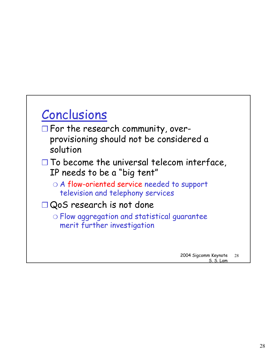